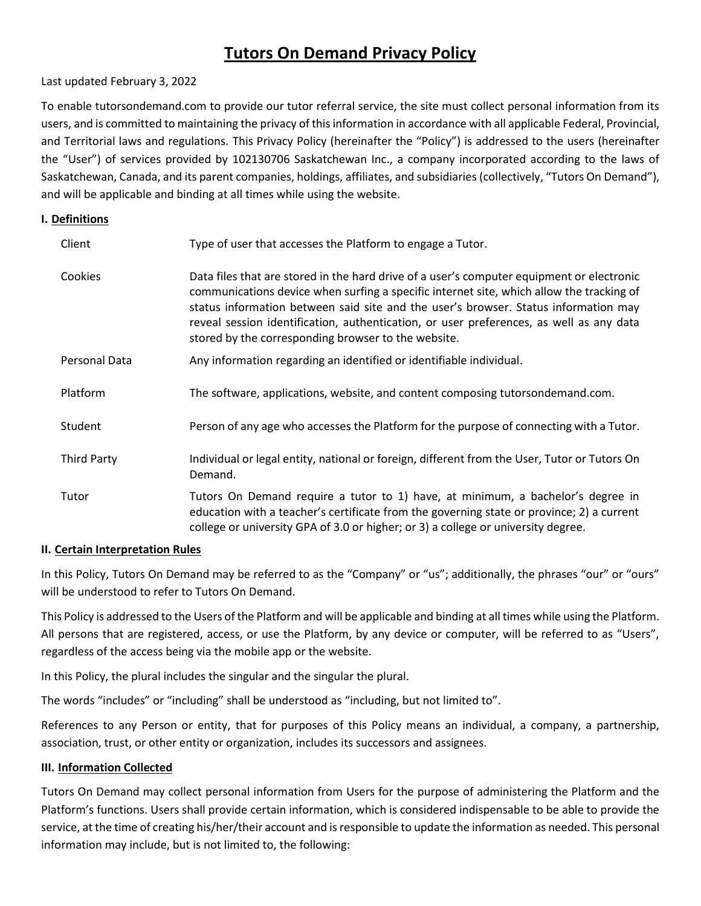# **Tutors On Demand Privacy Policy**

## Last updated February 3, 2022

To enable tutorsondemand.com to provide our tutor referral service, the site must collect personal information from its users, and is committed to maintaining the privacy of this information in accordance with all applicable Federal, Provincial, and Territorial laws and regulations. This Privacy Policy (hereinafter the "Policy") is addressed to the users (hereinafter the "User") of services provided by 102130706 Saskatchewan Inc., a company incorporated according to the laws of Saskatchewan, Canada, and its parent companies, holdings, affiliates, and subsidiaries (collectively, "Tutors On Demand"), and will be applicable and binding at all times while using the website.

## **I. Definitions**

| Client             | Type of user that accesses the Platform to engage a Tutor.                                                                                                                                                                                                                                                                                                                                                                     |
|--------------------|--------------------------------------------------------------------------------------------------------------------------------------------------------------------------------------------------------------------------------------------------------------------------------------------------------------------------------------------------------------------------------------------------------------------------------|
| Cookies            | Data files that are stored in the hard drive of a user's computer equipment or electronic<br>communications device when surfing a specific internet site, which allow the tracking of<br>status information between said site and the user's browser. Status information may<br>reveal session identification, authentication, or user preferences, as well as any data<br>stored by the corresponding browser to the website. |
| Personal Data      | Any information regarding an identified or identifiable individual.                                                                                                                                                                                                                                                                                                                                                            |
| Platform           | The software, applications, website, and content composing tutorsondemand.com.                                                                                                                                                                                                                                                                                                                                                 |
| Student            | Person of any age who accesses the Platform for the purpose of connecting with a Tutor.                                                                                                                                                                                                                                                                                                                                        |
| <b>Third Party</b> | Individual or legal entity, national or foreign, different from the User, Tutor or Tutors On<br>Demand.                                                                                                                                                                                                                                                                                                                        |
| Tutor              | Tutors On Demand require a tutor to 1) have, at minimum, a bachelor's degree in<br>education with a teacher's certificate from the governing state or province; 2) a current<br>college or university GPA of 3.0 or higher; or 3) a college or university degree.                                                                                                                                                              |

## **II. Certain Interpretation Rules**

In this Policy, Tutors On Demand may be referred to as the "Company" or "us"; additionally, the phrases "our" or "ours" will be understood to refer to Tutors On Demand.

This Policy is addressed to the Users of the Platform and will be applicable and binding at all times while using the Platform. All persons that are registered, access, or use the Platform, by any device or computer, will be referred to as "Users", regardless of the access being via the mobile app or the website.

In this Policy, the plural includes the singular and the singular the plural.

The words "includes" or "including" shall be understood as "including, but not limited to".

References to any Person or entity, that for purposes of this Policy means an individual, a company, a partnership, association, trust, or other entity or organization, includes its successors and assignees.

## **III. Information Collected**

Tutors On Demand may collect personal information from Users for the purpose of administering the Platform and the Platform's functions. Users shall provide certain information, which is considered indispensable to be able to provide the service, at the time of creating his/her/their account and is responsible to update the information as needed. This personal information may include, but is not limited to, the following: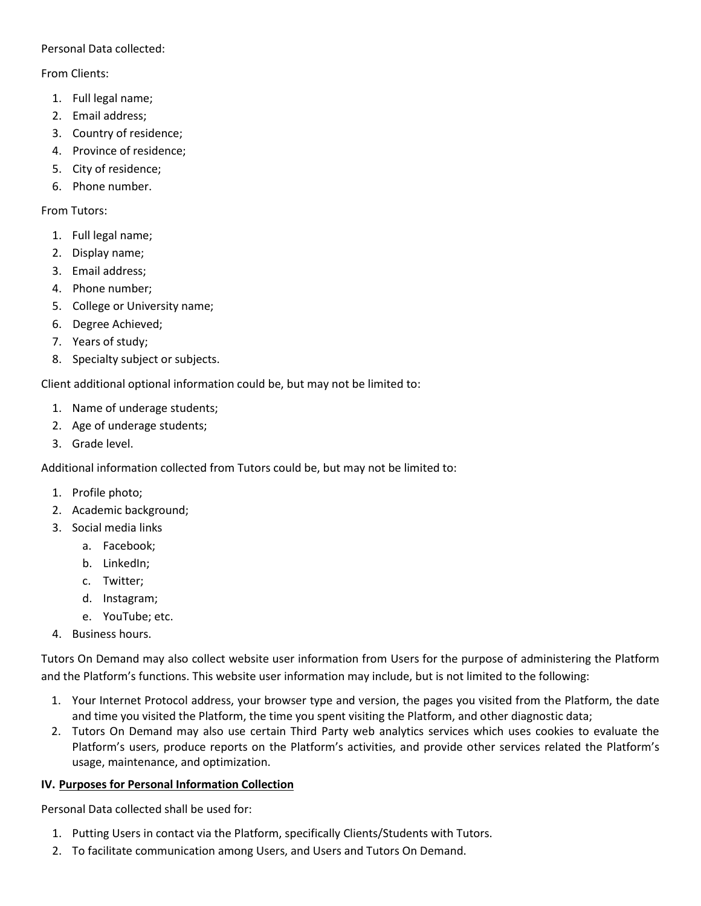Personal Data collected:

From Clients:

- 1. Full legal name;
- 2. Email address;
- 3. Country of residence;
- 4. Province of residence;
- 5. City of residence;
- 6. Phone number.

From Tutors:

- 1. Full legal name;
- 2. Display name;
- 3. Email address;
- 4. Phone number;
- 5. College or University name;
- 6. Degree Achieved;
- 7. Years of study;
- 8. Specialty subject or subjects.

Client additional optional information could be, but may not be limited to:

- 1. Name of underage students;
- 2. Age of underage students;
- 3. Grade level.

Additional information collected from Tutors could be, but may not be limited to:

- 1. Profile photo;
- 2. Academic background;
- 3. Social media links
	- a. Facebook;
	- b. LinkedIn;
	- c. Twitter;
	- d. Instagram;
	- e. YouTube; etc.
- 4. Business hours.

Tutors On Demand may also collect website user information from Users for the purpose of administering the Platform and the Platform's functions. This website user information may include, but is not limited to the following:

- 1. Your Internet Protocol address, your browser type and version, the pages you visited from the Platform, the date and time you visited the Platform, the time you spent visiting the Platform, and other diagnostic data;
- 2. Tutors On Demand may also use certain Third Party web analytics services which uses cookies to evaluate the Platform's users, produce reports on the Platform's activities, and provide other services related the Platform's usage, maintenance, and optimization.

## **IV. Purposes for Personal Information Collection**

Personal Data collected shall be used for:

- 1. Putting Users in contact via the Platform, specifically Clients/Students with Tutors.
- 2. To facilitate communication among Users, and Users and Tutors On Demand.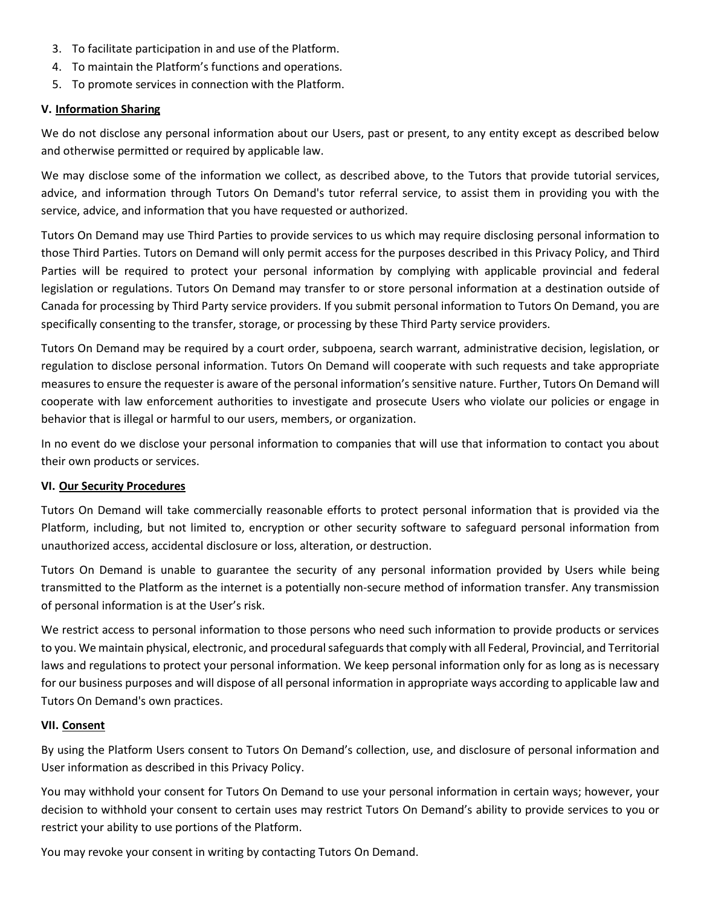- 3. To facilitate participation in and use of the Platform.
- 4. To maintain the Platform's functions and operations.
- 5. To promote services in connection with the Platform.

# **V. Information Sharing**

We do not disclose any personal information about our Users, past or present, to any entity except as described below and otherwise permitted or required by applicable law.

We may disclose some of the information we collect, as described above, to the Tutors that provide tutorial services, advice, and information through Tutors On Demand's tutor referral service, to assist them in providing you with the service, advice, and information that you have requested or authorized.

Tutors On Demand may use Third Parties to provide services to us which may require disclosing personal information to those Third Parties. Tutors on Demand will only permit access for the purposes described in this Privacy Policy, and Third Parties will be required to protect your personal information by complying with applicable provincial and federal legislation or regulations. Tutors On Demand may transfer to or store personal information at a destination outside of Canada for processing by Third Party service providers. If you submit personal information to Tutors On Demand, you are specifically consenting to the transfer, storage, or processing by these Third Party service providers.

Tutors On Demand may be required by a court order, subpoena, search warrant, administrative decision, legislation, or regulation to disclose personal information. Tutors On Demand will cooperate with such requests and take appropriate measures to ensure the requester is aware of the personal information's sensitive nature. Further, Tutors On Demand will cooperate with law enforcement authorities to investigate and prosecute Users who violate our policies or engage in behavior that is illegal or harmful to our users, members, or organization.

In no event do we disclose your personal information to companies that will use that information to contact you about their own products or services.

## **VI. Our Security Procedures**

Tutors On Demand will take commercially reasonable efforts to protect personal information that is provided via the Platform, including, but not limited to, encryption or other security software to safeguard personal information from unauthorized access, accidental disclosure or loss, alteration, or destruction.

Tutors On Demand is unable to guarantee the security of any personal information provided by Users while being transmitted to the Platform as the internet is a potentially non-secure method of information transfer. Any transmission of personal information is at the User's risk.

We restrict access to personal information to those persons who need such information to provide products or services to you. We maintain physical, electronic, and procedural safeguards that comply with all Federal, Provincial, and Territorial laws and regulations to protect your personal information. We keep personal information only for as long as is necessary for our business purposes and will dispose of all personal information in appropriate ways according to applicable law and Tutors On Demand's own practices.

## **VII. Consent**

By using the Platform Users consent to Tutors On Demand's collection, use, and disclosure of personal information and User information as described in this Privacy Policy.

You may withhold your consent for Tutors On Demand to use your personal information in certain ways; however, your decision to withhold your consent to certain uses may restrict Tutors On Demand's ability to provide services to you or restrict your ability to use portions of the Platform.

You may revoke your consent in writing by contacting Tutors On Demand.